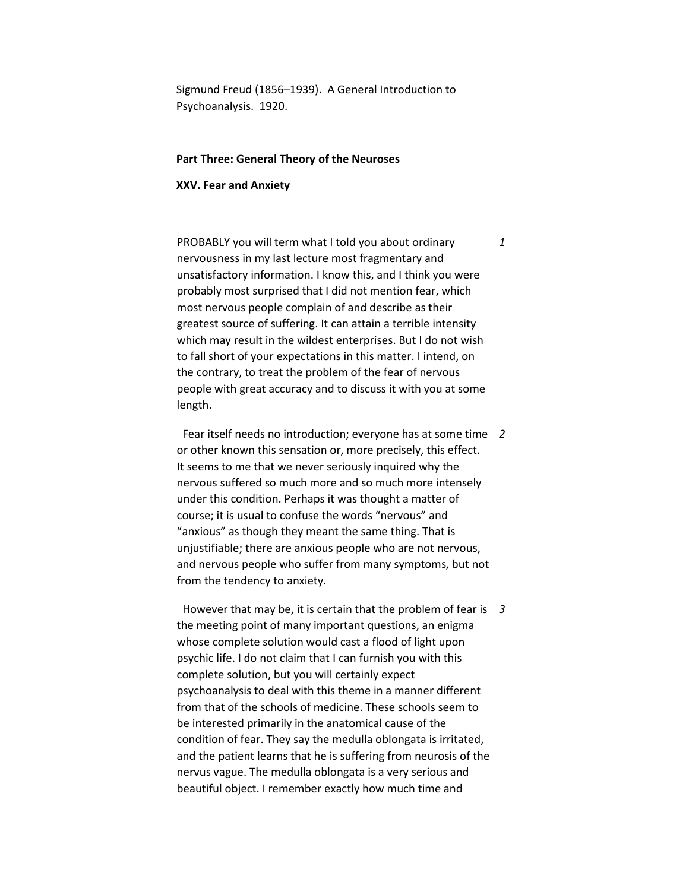Sigmund Freud (1856–1939). A General Introduction to Psychoanalysis. 1920.

## **Part Three: General Theory of the Neuroses**

## **XXV. Fear and Anxiety**

PROBABLY you will term what I told you about ordinary nervousness in my last lecture most fragmentary and unsatisfactory information. I know this, and I think you were probably most surprised that I did not mention fear, which most nervous people complain of and describe as their greatest source of suffering. It can attain a terrible intensity which may result in the wildest enterprises. But I do not wish to fall short of your expectations in this matter. I intend, on the contrary, to treat the problem of the fear of nervous people with great accuracy and to discuss it with you at some length.

*1*

Fear itself needs no introduction; everyone has at some time *2* or other known this sensation or, more precisely, this effect. It seems to me that we never seriously inquired why the nervous suffered so much more and so much more intensely under this condition. Perhaps it was thought a matter of course; it is usual to confuse the words "nervous" and "anxious" as though they meant the same thing. That is unjustifiable; there are anxious people who are not nervous, and nervous people who suffer from many symptoms, but not from the tendency to anxiety.

However that may be, it is certain that the problem of fear is *3*the meeting point of many important questions, an enigma whose complete solution would cast a flood of light upon psychic life. I do not claim that I can furnish you with this complete solution, but you will certainly expect psychoanalysis to deal with this theme in a manner different from that of the schools of medicine. These schools seem to be interested primarily in the anatomical cause of the condition of fear. They say the medulla oblongata is irritated, and the patient learns that he is suffering from neurosis of the nervus vague. The medulla oblongata is a very serious and beautiful object. I remember exactly how much time and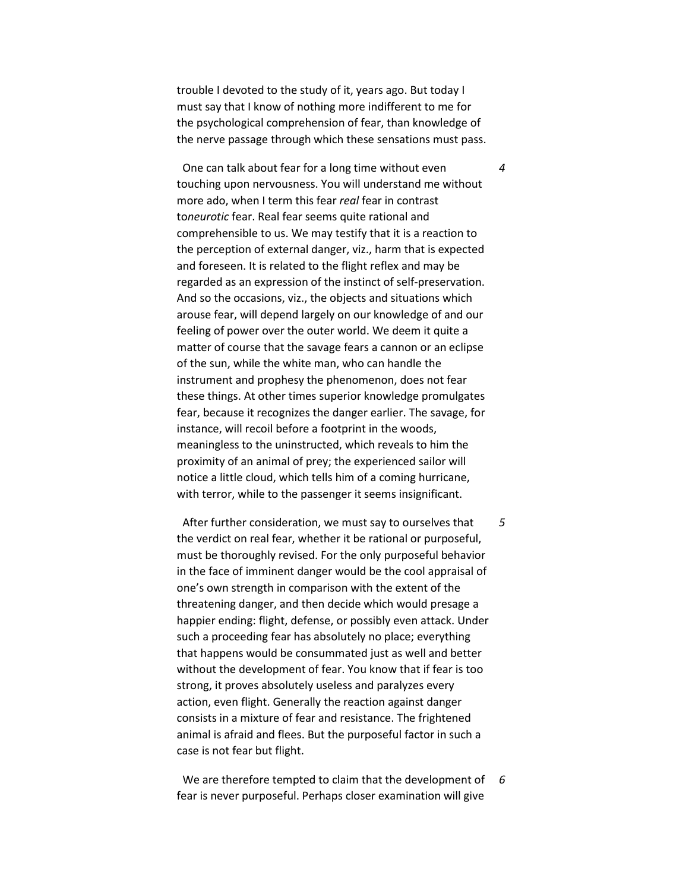trouble I devoted to the study of it, years ago. But today I must say that I know of nothing more indifferent to me for the psychological comprehension of fear, than knowledge of the nerve passage through which these sensations must pass.

One can talk about fear for a long time without even touching upon nervousness. You will understand me without more ado, when I term this fear *real* fear in contrast to*neurotic* fear. Real fear seems quite rational and comprehensible to us. We may testify that it is a reaction to the perception of external danger, viz., harm that is expected and foreseen. It is related to the flight reflex and may be regarded as an expression of the instinct of self-preservation. And so the occasions, viz., the objects and situations which arouse fear, will depend largely on our knowledge of and our feeling of power over the outer world. We deem it quite a matter of course that the savage fears a cannon or an eclipse of the sun, while the white man, who can handle the instrument and prophesy the phenomenon, does not fear these things. At other times superior knowledge promulgates fear, because it recognizes the danger earlier. The savage, for instance, will recoil before a footprint in the woods, meaningless to the uninstructed, which reveals to him the proximity of an animal of prey; the experienced sailor will notice a little cloud, which tells him of a coming hurricane, with terror, while to the passenger it seems insignificant.

After further consideration, we must say to ourselves that the verdict on real fear, whether it be rational or purposeful, must be thoroughly revised. For the only purposeful behavior in the face of imminent danger would be the cool appraisal of one's own strength in comparison with the extent of the threatening danger, and then decide which would presage a happier ending: flight, defense, or possibly even attack. Under such a proceeding fear has absolutely no place; everything that happens would be consummated just as well and better without the development of fear. You know that if fear is too strong, it proves absolutely useless and paralyzes every action, even flight. Generally the reaction against danger consists in a mixture of fear and resistance. The frightened animal is afraid and flees. But the purposeful factor in such a case is not fear but flight.

We are therefore tempted to claim that the development of *6*fear is never purposeful. Perhaps closer examination will give

*5*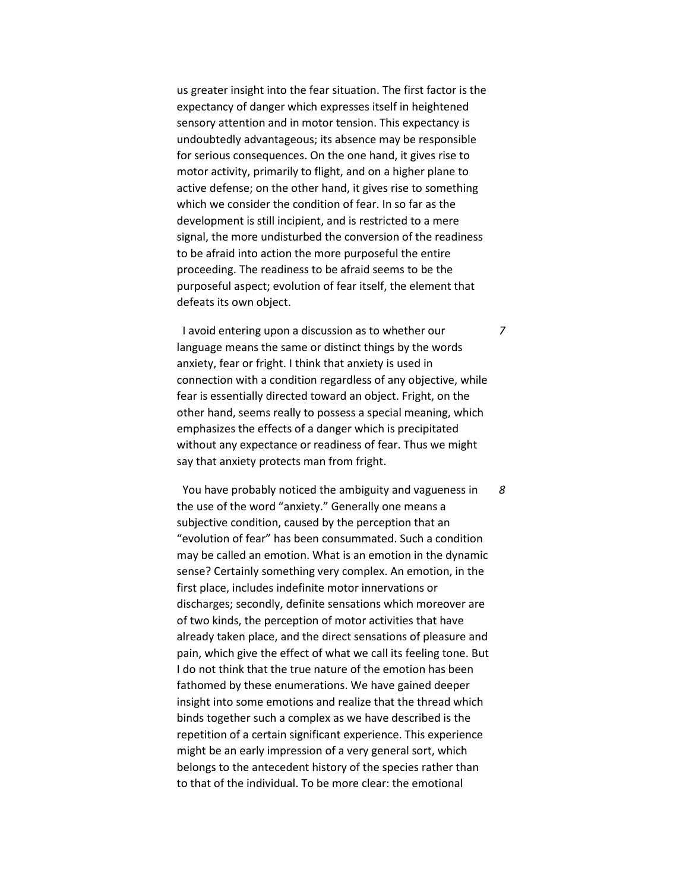us greater insight into the fear situation. The first factor is the expectancy of danger which expresses itself in heightened sensory attention and in motor tension. This expectancy is undoubtedly advantageous; its absence may be responsible for serious consequences. On the one hand, it gives rise to motor activity, primarily to flight, and on a higher plane to active defense; on the other hand, it gives rise to something which we consider the condition of fear. In so far as the development is still incipient, and is restricted to a mere signal, the more undisturbed the conversion of the readiness to be afraid into action the more purposeful the entire proceeding. The readiness to be afraid seems to be the purposeful aspect; evolution of fear itself, the element that defeats its own object.

I avoid entering upon a discussion as to whether our language means the same or distinct things by the words anxiety, fear or fright. I think that anxiety is used in connection with a condition regardless of any objective, while fear is essentially directed toward an object. Fright, on the other hand, seems really to possess a special meaning, which emphasizes the effects of a danger which is precipitated without any expectance or readiness of fear. Thus we might say that anxiety protects man from fright.

You have probably noticed the ambiguity and vagueness in the use of the word "anxiety." Generally one means a subjective condition, caused by the perception that an "evolution of fear" has been consummated. Such a condition may be called an emotion. What is an emotion in the dynamic sense? Certainly something very complex. An emotion, in the first place, includes indefinite motor innervations or discharges; secondly, definite sensations which moreover are of two kinds, the perception of motor activities that have already taken place, and the direct sensations of pleasure and pain, which give the effect of what we call its feeling tone. But I do not think that the true nature of the emotion has been fathomed by these enumerations. We have gained deeper insight into some emotions and realize that the thread which binds together such a complex as we have described is the repetition of a certain significant experience. This experience might be an early impression of a very general sort, which belongs to the antecedent history of the species rather than to that of the individual. To be more clear: the emotional *8*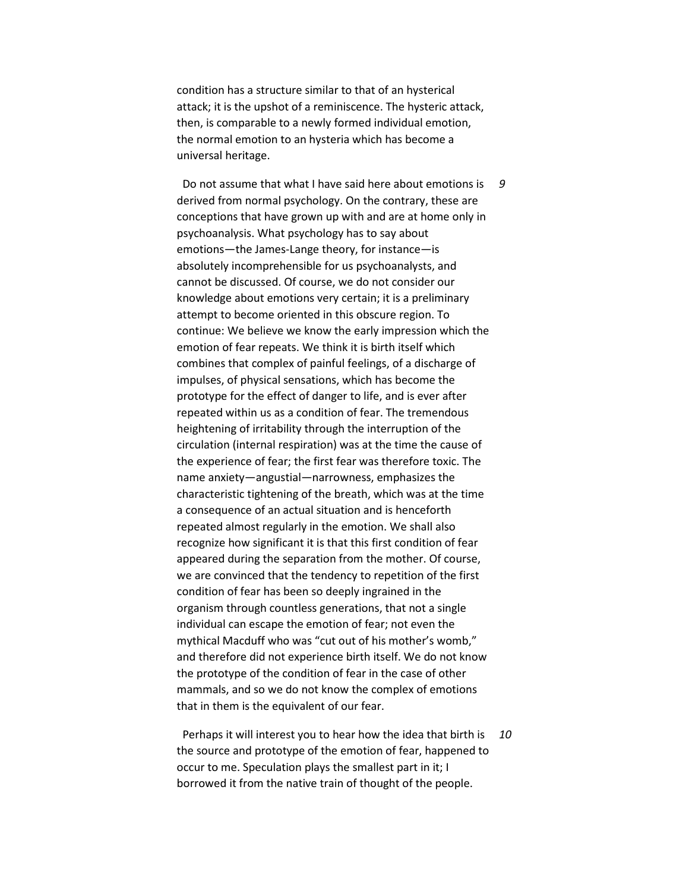condition has a structure similar to that of an hysterical attack; it is the upshot of a reminiscence. The hysteric attack, then, is comparable to a newly formed individual emotion, the normal emotion to an hysteria which has become a universal heritage.

Do not assume that what I have said here about emotions is *9* derived from normal psychology. On the contrary, these are conceptions that have grown up with and are at home only in psychoanalysis. What psychology has to say about emotions—the James-Lange theory, for instance—is absolutely incomprehensible for us psychoanalysts, and cannot be discussed. Of course, we do not consider our knowledge about emotions very certain; it is a preliminary attempt to become oriented in this obscure region. To continue: We believe we know the early impression which the emotion of fear repeats. We think it is birth itself which combines that complex of painful feelings, of a discharge of impulses, of physical sensations, which has become the prototype for the effect of danger to life, and is ever after repeated within us as a condition of fear. The tremendous heightening of irritability through the interruption of the circulation (internal respiration) was at the time the cause of the experience of fear; the first fear was therefore toxic. The name anxiety—angustial—narrowness, emphasizes the characteristic tightening of the breath, which was at the time a consequence of an actual situation and is henceforth repeated almost regularly in the emotion. We shall also recognize how significant it is that this first condition of fear appeared during the separation from the mother. Of course, we are convinced that the tendency to repetition of the first condition of fear has been so deeply ingrained in the organism through countless generations, that not a single individual can escape the emotion of fear; not even the mythical Macduff who was "cut out of his mother's womb," and therefore did not experience birth itself. We do not know the prototype of the condition of fear in the case of other mammals, and so we do not know the complex of emotions that in them is the equivalent of our fear.

Perhaps it will interest you to hear how the idea that birth is *10*the source and prototype of the emotion of fear, happened to occur to me. Speculation plays the smallest part in it; I borrowed it from the native train of thought of the people.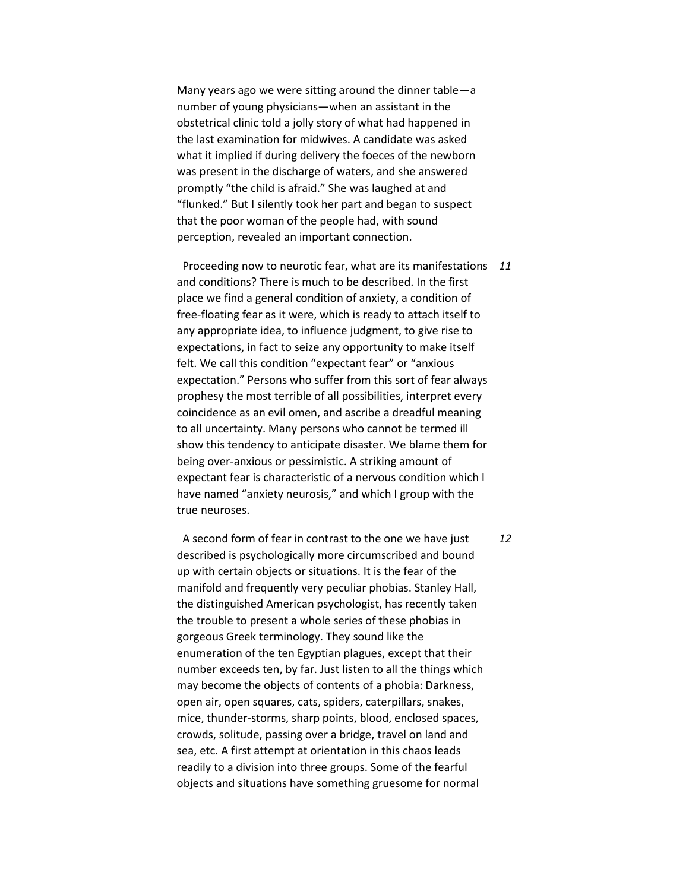Many years ago we were sitting around the dinner table—a number of young physicians—when an assistant in the obstetrical clinic told a jolly story of what had happened in the last examination for midwives. A candidate was asked what it implied if during delivery the foeces of the newborn was present in the discharge of waters, and she answered promptly "the child is afraid." She was laughed at and "flunked." But I silently took her part and began to suspect that the poor woman of the people had, with sound perception, revealed an important connection.

Proceeding now to neurotic fear, what are its manifestations *11* and conditions? There is much to be described. In the first place we find a general condition of anxiety, a condition of free-floating fear as it were, which is ready to attach itself to any appropriate idea, to influence judgment, to give rise to expectations, in fact to seize any opportunity to make itself felt. We call this condition "expectant fear" or "anxious expectation." Persons who suffer from this sort of fear always prophesy the most terrible of all possibilities, interpret every coincidence as an evil omen, and ascribe a dreadful meaning to all uncertainty. Many persons who cannot be termed ill show this tendency to anticipate disaster. We blame them for being over-anxious or pessimistic. A striking amount of expectant fear is characteristic of a nervous condition which I have named "anxiety neurosis," and which I group with the true neuroses.

A second form of fear in contrast to the one we have just described is psychologically more circumscribed and bound up with certain objects or situations. It is the fear of the manifold and frequently very peculiar phobias. Stanley Hall, the distinguished American psychologist, has recently taken the trouble to present a whole series of these phobias in gorgeous Greek terminology. They sound like the enumeration of the ten Egyptian plagues, except that their number exceeds ten, by far. Just listen to all the things which may become the objects of contents of a phobia: Darkness, open air, open squares, cats, spiders, caterpillars, snakes, mice, thunder-storms, sharp points, blood, enclosed spaces, crowds, solitude, passing over a bridge, travel on land and sea, etc. A first attempt at orientation in this chaos leads readily to a division into three groups. Some of the fearful objects and situations have something gruesome for normal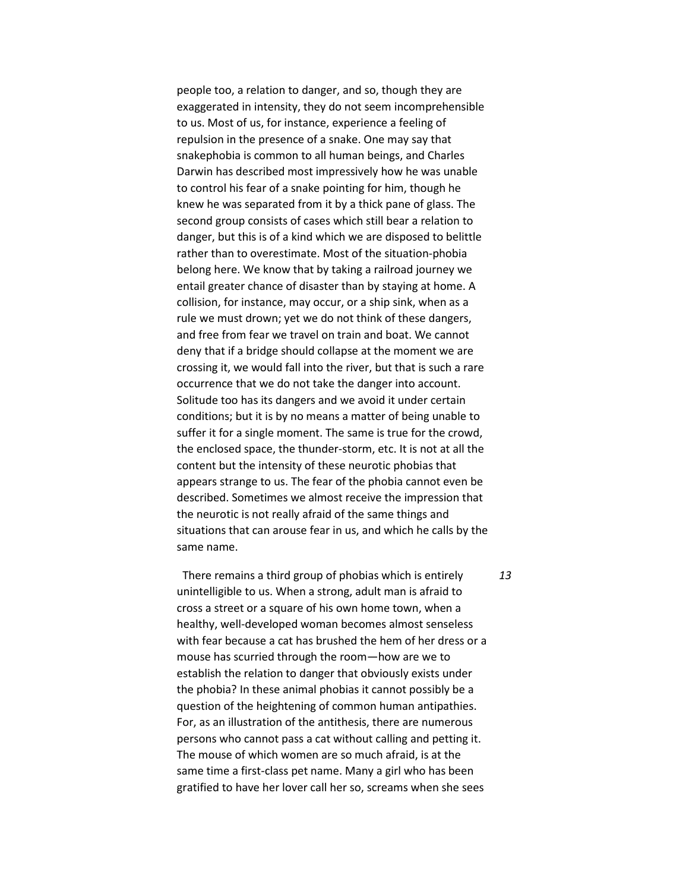people too, a relation to danger, and so, though they are exaggerated in intensity, they do not seem incomprehensible to us. Most of us, for instance, experience a feeling of repulsion in the presence of a snake. One may say that snakephobia is common to all human beings, and Charles Darwin has described most impressively how he was unable to control his fear of a snake pointing for him, though he knew he was separated from it by a thick pane of glass. The second group consists of cases which still bear a relation to danger, but this is of a kind which we are disposed to belittle rather than to overestimate. Most of the situation-phobia belong here. We know that by taking a railroad journey we entail greater chance of disaster than by staying at home. A collision, for instance, may occur, or a ship sink, when as a rule we must drown; yet we do not think of these dangers, and free from fear we travel on train and boat. We cannot deny that if a bridge should collapse at the moment we are crossing it, we would fall into the river, but that is such a rare occurrence that we do not take the danger into account. Solitude too has its dangers and we avoid it under certain conditions; but it is by no means a matter of being unable to suffer it for a single moment. The same is true for the crowd, the enclosed space, the thunder-storm, etc. It is not at all the content but the intensity of these neurotic phobias that appears strange to us. The fear of the phobia cannot even be described. Sometimes we almost receive the impression that the neurotic is not really afraid of the same things and situations that can arouse fear in us, and which he calls by the same name.

There remains a third group of phobias which is entirely unintelligible to us. When a strong, adult man is afraid to cross a street or a square of his own home town, when a healthy, well-developed woman becomes almost senseless with fear because a cat has brushed the hem of her dress or a mouse has scurried through the room—how are we to establish the relation to danger that obviously exists under the phobia? In these animal phobias it cannot possibly be a question of the heightening of common human antipathies. For, as an illustration of the antithesis, there are numerous persons who cannot pass a cat without calling and petting it. The mouse of which women are so much afraid, is at the same time a first-class pet name. Many a girl who has been gratified to have her lover call her so, screams when she sees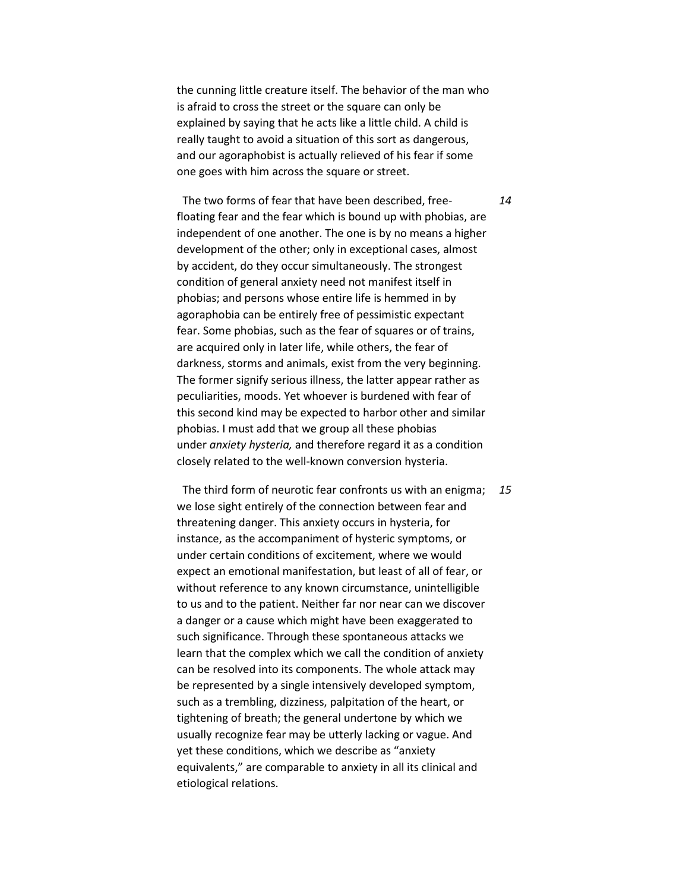the cunning little creature itself. The behavior of the man who is afraid to cross the street or the square can only be explained by saying that he acts like a little child. A child is really taught to avoid a situation of this sort as dangerous, and our agoraphobist is actually relieved of his fear if some one goes with him across the square or street.

The two forms of fear that have been described, freefloating fear and the fear which is bound up with phobias, are independent of one another. The one is by no means a higher development of the other; only in exceptional cases, almost by accident, do they occur simultaneously. The strongest condition of general anxiety need not manifest itself in phobias; and persons whose entire life is hemmed in by agoraphobia can be entirely free of pessimistic expectant fear. Some phobias, such as the fear of squares or of trains, are acquired only in later life, while others, the fear of darkness, storms and animals, exist from the very beginning. The former signify serious illness, the latter appear rather as peculiarities, moods. Yet whoever is burdened with fear of this second kind may be expected to harbor other and similar phobias. I must add that we group all these phobias under *anxiety hysteria,* and therefore regard it as a condition closely related to the well-known conversion hysteria.

The third form of neurotic fear confronts us with an enigma; *15*we lose sight entirely of the connection between fear and threatening danger. This anxiety occurs in hysteria, for instance, as the accompaniment of hysteric symptoms, or under certain conditions of excitement, where we would expect an emotional manifestation, but least of all of fear, or without reference to any known circumstance, unintelligible to us and to the patient. Neither far nor near can we discover a danger or a cause which might have been exaggerated to such significance. Through these spontaneous attacks we learn that the complex which we call the condition of anxiety can be resolved into its components. The whole attack may be represented by a single intensively developed symptom, such as a trembling, dizziness, palpitation of the heart, or tightening of breath; the general undertone by which we usually recognize fear may be utterly lacking or vague. And yet these conditions, which we describe as "anxiety equivalents," are comparable to anxiety in all its clinical and etiological relations.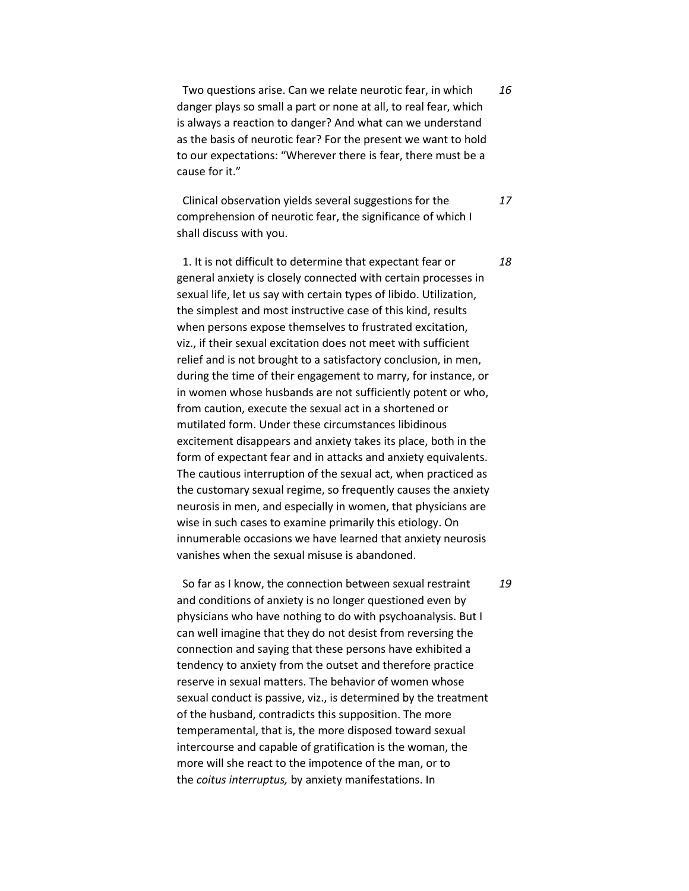Two questions arise. Can we relate neurotic fear, in which danger plays so small a part or none at all, to real fear, which is always a reaction to danger? And what can we understand as the basis of neurotic fear? For the present we want to hold to our expectations: "Wherever there is fear, there must be a cause for it." *16*

Clinical observation yields several suggestions for the comprehension of neurotic fear, the significance of which I shall discuss with you. *17*

1. It is not difficult to determine that expectant fear or general anxiety is closely connected with certain processes in sexual life, let us say with certain types of libido. Utilization, the simplest and most instructive case of this kind, results when persons expose themselves to frustrated excitation, viz., if their sexual excitation does not meet with sufficient relief and is not brought to a satisfactory conclusion, in men, during the time of their engagement to marry, for instance, or in women whose husbands are not sufficiently potent or who, from caution, execute the sexual act in a shortened or mutilated form. Under these circumstances libidinous excitement disappears and anxiety takes its place, both in the form of expectant fear and in attacks and anxiety equivalents. The cautious interruption of the sexual act, when practiced as the customary sexual regime, so frequently causes the anxiety neurosis in men, and especially in women, that physicians are wise in such cases to examine primarily this etiology. On innumerable occasions we have learned that anxiety neurosis vanishes when the sexual misuse is abandoned.

So far as I know, the connection between sexual restraint and conditions of anxiety is no longer questioned even by physicians who have nothing to do with psychoanalysis. But I can well imagine that they do not desist from reversing the connection and saying that these persons have exhibited a tendency to anxiety from the outset and therefore practice reserve in sexual matters. The behavior of women whose sexual conduct is passive, viz., is determined by the treatment of the husband, contradicts this supposition. The more temperamental, that is, the more disposed toward sexual intercourse and capable of gratification is the woman, the more will she react to the impotence of the man, or to the *coitus interruptus,* by anxiety manifestations. In

*18*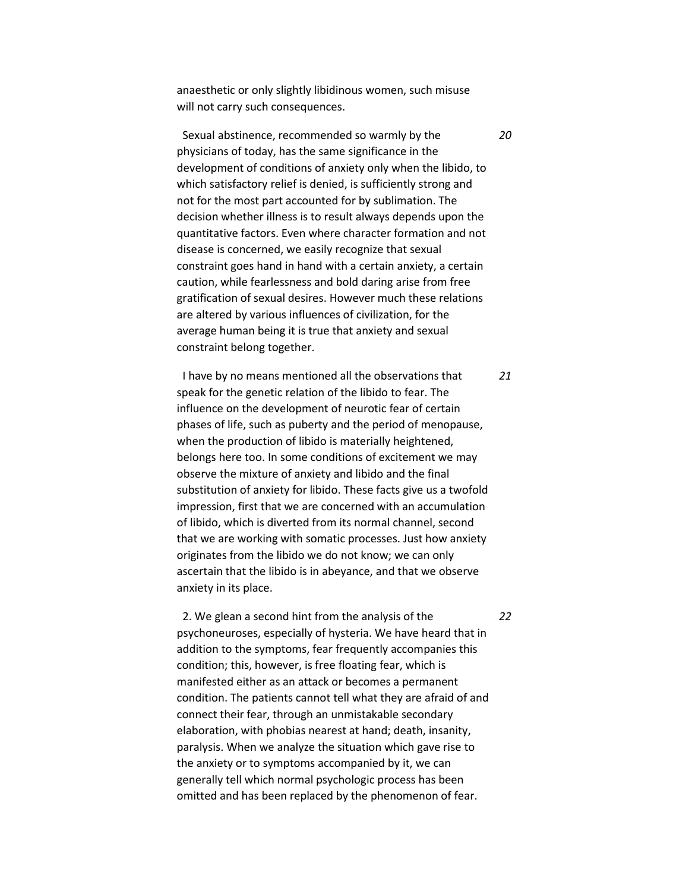anaesthetic or only slightly libidinous women, such misuse will not carry such consequences.

Sexual abstinence, recommended so warmly by the physicians of today, has the same significance in the development of conditions of anxiety only when the libido, to which satisfactory relief is denied, is sufficiently strong and not for the most part accounted for by sublimation. The decision whether illness is to result always depends upon the quantitative factors. Even where character formation and not disease is concerned, we easily recognize that sexual constraint goes hand in hand with a certain anxiety, a certain caution, while fearlessness and bold daring arise from free gratification of sexual desires. However much these relations are altered by various influences of civilization, for the average human being it is true that anxiety and sexual constraint belong together.

I have by no means mentioned all the observations that speak for the genetic relation of the libido to fear. The influence on the development of neurotic fear of certain phases of life, such as puberty and the period of menopause, when the production of libido is materially heightened, belongs here too. In some conditions of excitement we may observe the mixture of anxiety and libido and the final substitution of anxiety for libido. These facts give us a twofold impression, first that we are concerned with an accumulation of libido, which is diverted from its normal channel, second that we are working with somatic processes. Just how anxiety originates from the libido we do not know; we can only ascertain that the libido is in abeyance, and that we observe anxiety in its place.

2. We glean a second hint from the analysis of the psychoneuroses, especially of hysteria. We have heard that in addition to the symptoms, fear frequently accompanies this condition; this, however, is free floating fear, which is manifested either as an attack or becomes a permanent condition. The patients cannot tell what they are afraid of and connect their fear, through an unmistakable secondary elaboration, with phobias nearest at hand; death, insanity, paralysis. When we analyze the situation which gave rise to the anxiety or to symptoms accompanied by it, we can generally tell which normal psychologic process has been omitted and has been replaced by the phenomenon of fear.

*22*

*21*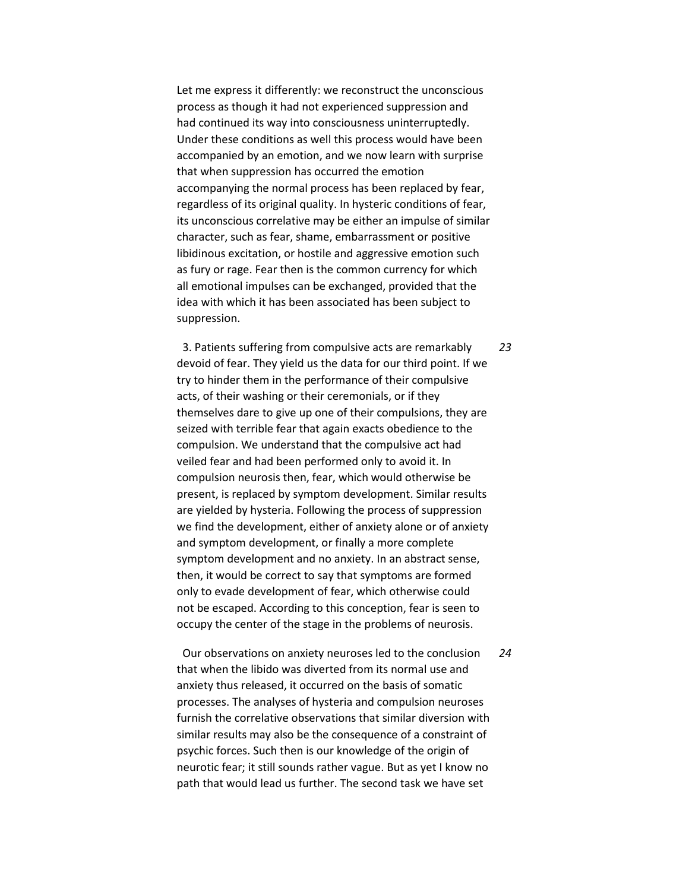Let me express it differently: we reconstruct the unconscious process as though it had not experienced suppression and had continued its way into consciousness uninterruptedly. Under these conditions as well this process would have been accompanied by an emotion, and we now learn with surprise that when suppression has occurred the emotion accompanying the normal process has been replaced by fear, regardless of its original quality. In hysteric conditions of fear, its unconscious correlative may be either an impulse of similar character, such as fear, shame, embarrassment or positive libidinous excitation, or hostile and aggressive emotion such as fury or rage. Fear then is the common currency for which all emotional impulses can be exchanged, provided that the idea with which it has been associated has been subject to suppression.

3. Patients suffering from compulsive acts are remarkably devoid of fear. They yield us the data for our third point. If we try to hinder them in the performance of their compulsive acts, of their washing or their ceremonials, or if they themselves dare to give up one of their compulsions, they are seized with terrible fear that again exacts obedience to the compulsion. We understand that the compulsive act had veiled fear and had been performed only to avoid it. In compulsion neurosis then, fear, which would otherwise be present, is replaced by symptom development. Similar results are yielded by hysteria. Following the process of suppression we find the development, either of anxiety alone or of anxiety and symptom development, or finally a more complete symptom development and no anxiety. In an abstract sense, then, it would be correct to say that symptoms are formed only to evade development of fear, which otherwise could not be escaped. According to this conception, fear is seen to occupy the center of the stage in the problems of neurosis. *23*

Our observations on anxiety neuroses led to the conclusion that when the libido was diverted from its normal use and anxiety thus released, it occurred on the basis of somatic processes. The analyses of hysteria and compulsion neuroses furnish the correlative observations that similar diversion with similar results may also be the consequence of a constraint of psychic forces. Such then is our knowledge of the origin of neurotic fear; it still sounds rather vague. But as yet I know no path that would lead us further. The second task we have set *24*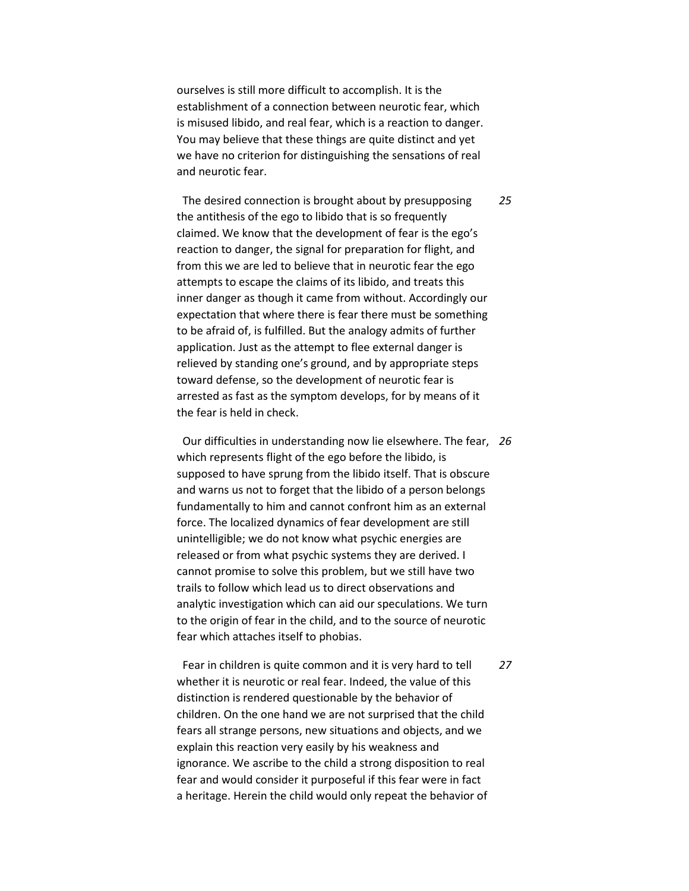ourselves is still more difficult to accomplish. It is the establishment of a connection between neurotic fear, which is misused libido, and real fear, which is a reaction to danger. You may believe that these things are quite distinct and yet we have no criterion for distinguishing the sensations of real and neurotic fear.

The desired connection is brought about by presupposing the antithesis of the ego to libido that is so frequently claimed. We know that the development of fear is the ego's reaction to danger, the signal for preparation for flight, and from this we are led to believe that in neurotic fear the ego attempts to escape the claims of its libido, and treats this inner danger as though it came from without. Accordingly our expectation that where there is fear there must be something to be afraid of, is fulfilled. But the analogy admits of further application. Just as the attempt to flee external danger is relieved by standing one's ground, and by appropriate steps toward defense, so the development of neurotic fear is arrested as fast as the symptom develops, for by means of it the fear is held in check. *25*

Our difficulties in understanding now lie elsewhere. The fear, *26* which represents flight of the ego before the libido, is supposed to have sprung from the libido itself. That is obscure and warns us not to forget that the libido of a person belongs fundamentally to him and cannot confront him as an external force. The localized dynamics of fear development are still unintelligible; we do not know what psychic energies are released or from what psychic systems they are derived. I cannot promise to solve this problem, but we still have two trails to follow which lead us to direct observations and analytic investigation which can aid our speculations. We turn to the origin of fear in the child, and to the source of neurotic fear which attaches itself to phobias.

Fear in children is quite common and it is very hard to tell whether it is neurotic or real fear. Indeed, the value of this distinction is rendered questionable by the behavior of children. On the one hand we are not surprised that the child fears all strange persons, new situations and objects, and we explain this reaction very easily by his weakness and ignorance. We ascribe to the child a strong disposition to real fear and would consider it purposeful if this fear were in fact a heritage. Herein the child would only repeat the behavior of *27*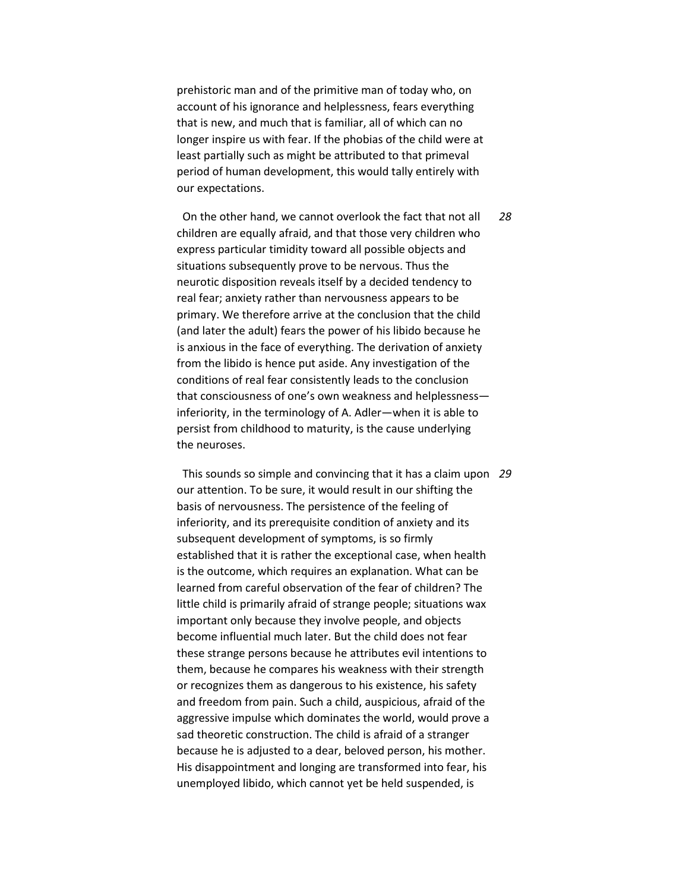prehistoric man and of the primitive man of today who, on account of his ignorance and helplessness, fears everything that is new, and much that is familiar, all of which can no longer inspire us with fear. If the phobias of the child were at least partially such as might be attributed to that primeval period of human development, this would tally entirely with our expectations.

On the other hand, we cannot overlook the fact that not all children are equally afraid, and that those very children who express particular timidity toward all possible objects and situations subsequently prove to be nervous. Thus the neurotic disposition reveals itself by a decided tendency to real fear; anxiety rather than nervousness appears to be primary. We therefore arrive at the conclusion that the child (and later the adult) fears the power of his libido because he is anxious in the face of everything. The derivation of anxiety from the libido is hence put aside. Any investigation of the conditions of real fear consistently leads to the conclusion that consciousness of one's own weakness and helplessness inferiority, in the terminology of A. Adler—when it is able to persist from childhood to maturity, is the cause underlying the neuroses. *28*

This sounds so simple and convincing that it has a claim upon *29*our attention. To be sure, it would result in our shifting the basis of nervousness. The persistence of the feeling of inferiority, and its prerequisite condition of anxiety and its subsequent development of symptoms, is so firmly established that it is rather the exceptional case, when health is the outcome, which requires an explanation. What can be learned from careful observation of the fear of children? The little child is primarily afraid of strange people; situations wax important only because they involve people, and objects become influential much later. But the child does not fear these strange persons because he attributes evil intentions to them, because he compares his weakness with their strength or recognizes them as dangerous to his existence, his safety and freedom from pain. Such a child, auspicious, afraid of the aggressive impulse which dominates the world, would prove a sad theoretic construction. The child is afraid of a stranger because he is adjusted to a dear, beloved person, his mother. His disappointment and longing are transformed into fear, his unemployed libido, which cannot yet be held suspended, is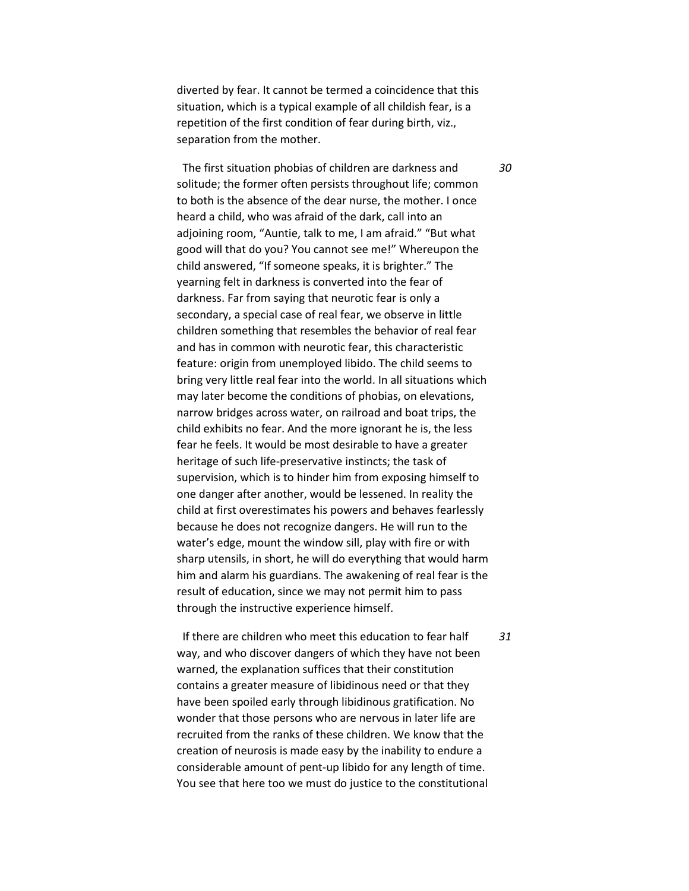diverted by fear. It cannot be termed a coincidence that this situation, which is a typical example of all childish fear, is a repetition of the first condition of fear during birth, viz., separation from the mother.

The first situation phobias of children are darkness and solitude; the former often persists throughout life; common to both is the absence of the dear nurse, the mother. I once heard a child, who was afraid of the dark, call into an adjoining room, "Auntie, talk to me, I am afraid." "But what good will that do you? You cannot see me!" Whereupon the child answered, "If someone speaks, it is brighter." The yearning felt in darkness is converted into the fear of darkness. Far from saying that neurotic fear is only a secondary, a special case of real fear, we observe in little children something that resembles the behavior of real fear and has in common with neurotic fear, this characteristic feature: origin from unemployed libido. The child seems to bring very little real fear into the world. In all situations which may later become the conditions of phobias, on elevations, narrow bridges across water, on railroad and boat trips, the child exhibits no fear. And the more ignorant he is, the less fear he feels. It would be most desirable to have a greater heritage of such life-preservative instincts; the task of supervision, which is to hinder him from exposing himself to one danger after another, would be lessened. In reality the child at first overestimates his powers and behaves fearlessly because he does not recognize dangers. He will run to the water's edge, mount the window sill, play with fire or with sharp utensils, in short, he will do everything that would harm him and alarm his guardians. The awakening of real fear is the result of education, since we may not permit him to pass through the instructive experience himself.

If there are children who meet this education to fear half way, and who discover dangers of which they have not been warned, the explanation suffices that their constitution contains a greater measure of libidinous need or that they have been spoiled early through libidinous gratification. No wonder that those persons who are nervous in later life are recruited from the ranks of these children. We know that the creation of neurosis is made easy by the inability to endure a considerable amount of pent-up libido for any length of time. You see that here too we must do justice to the constitutional *31*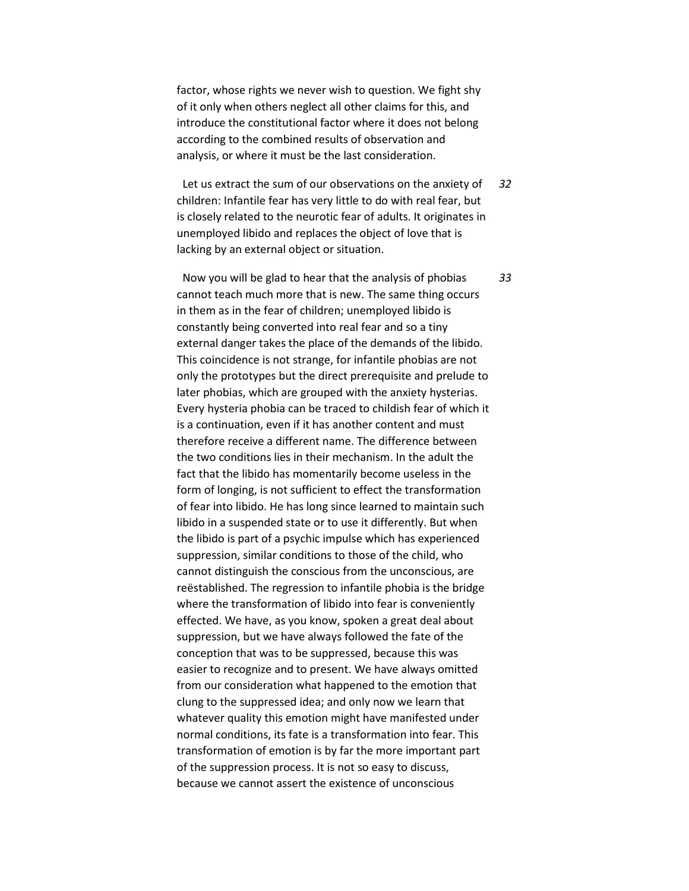factor, whose rights we never wish to question. We fight shy of it only when others neglect all other claims for this, and introduce the constitutional factor where it does not belong according to the combined results of observation and analysis, or where it must be the last consideration.

Let us extract the sum of our observations on the anxiety of children: Infantile fear has very little to do with real fear, but is closely related to the neurotic fear of adults. It originates in unemployed libido and replaces the object of love that is lacking by an external object or situation. *32*

*33*

Now you will be glad to hear that the analysis of phobias cannot teach much more that is new. The same thing occurs in them as in the fear of children; unemployed libido is constantly being converted into real fear and so a tiny external danger takes the place of the demands of the libido. This coincidence is not strange, for infantile phobias are not only the prototypes but the direct prerequisite and prelude to later phobias, which are grouped with the anxiety hysterias. Every hysteria phobia can be traced to childish fear of which it is a continuation, even if it has another content and must therefore receive a different name. The difference between the two conditions lies in their mechanism. In the adult the fact that the libido has momentarily become useless in the form of longing, is not sufficient to effect the transformation of fear into libido. He has long since learned to maintain such libido in a suspended state or to use it differently. But when the libido is part of a psychic impulse which has experienced suppression, similar conditions to those of the child, who cannot distinguish the conscious from the unconscious, are reëstablished. The regression to infantile phobia is the bridge where the transformation of libido into fear is conveniently effected. We have, as you know, spoken a great deal about suppression, but we have always followed the fate of the conception that was to be suppressed, because this was easier to recognize and to present. We have always omitted from our consideration what happened to the emotion that clung to the suppressed idea; and only now we learn that whatever quality this emotion might have manifested under normal conditions, its fate is a transformation into fear. This transformation of emotion is by far the more important part of the suppression process. It is not so easy to discuss, because we cannot assert the existence of unconscious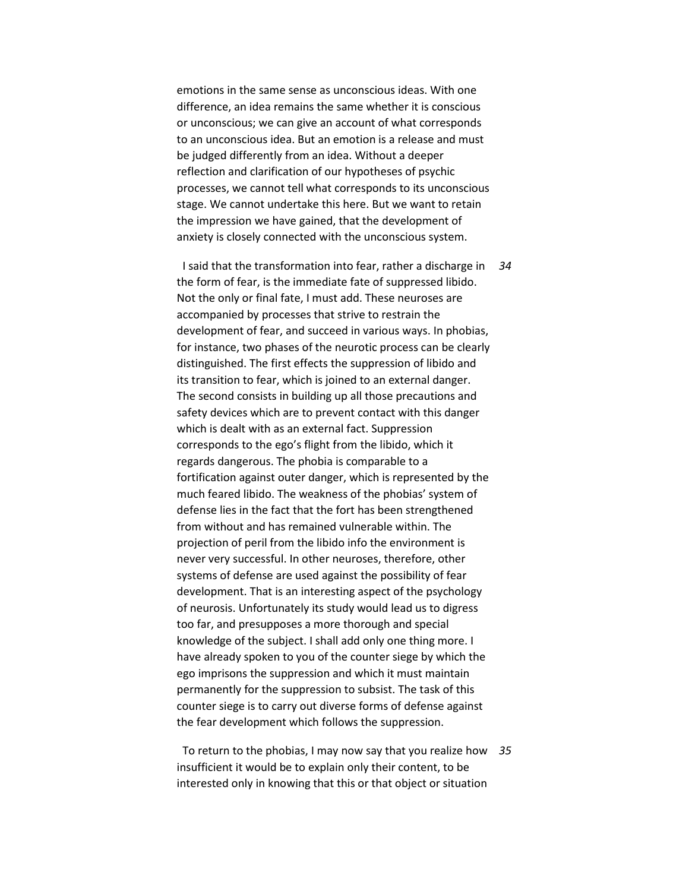emotions in the same sense as unconscious ideas. With one difference, an idea remains the same whether it is conscious or unconscious; we can give an account of what corresponds to an unconscious idea. But an emotion is a release and must be judged differently from an idea. Without a deeper reflection and clarification of our hypotheses of psychic processes, we cannot tell what corresponds to its unconscious stage. We cannot undertake this here. But we want to retain the impression we have gained, that the development of anxiety is closely connected with the unconscious system.

I said that the transformation into fear, rather a discharge in *34* the form of fear, is the immediate fate of suppressed libido. Not the only or final fate, I must add. These neuroses are accompanied by processes that strive to restrain the development of fear, and succeed in various ways. In phobias, for instance, two phases of the neurotic process can be clearly distinguished. The first effects the suppression of libido and its transition to fear, which is joined to an external danger. The second consists in building up all those precautions and safety devices which are to prevent contact with this danger which is dealt with as an external fact. Suppression corresponds to the ego's flight from the libido, which it regards dangerous. The phobia is comparable to a fortification against outer danger, which is represented by the much feared libido. The weakness of the phobias' system of defense lies in the fact that the fort has been strengthened from without and has remained vulnerable within. The projection of peril from the libido info the environment is never very successful. In other neuroses, therefore, other systems of defense are used against the possibility of fear development. That is an interesting aspect of the psychology of neurosis. Unfortunately its study would lead us to digress too far, and presupposes a more thorough and special knowledge of the subject. I shall add only one thing more. I have already spoken to you of the counter siege by which the ego imprisons the suppression and which it must maintain permanently for the suppression to subsist. The task of this counter siege is to carry out diverse forms of defense against the fear development which follows the suppression.

To return to the phobias, I may now say that you realize how *35*insufficient it would be to explain only their content, to be interested only in knowing that this or that object or situation